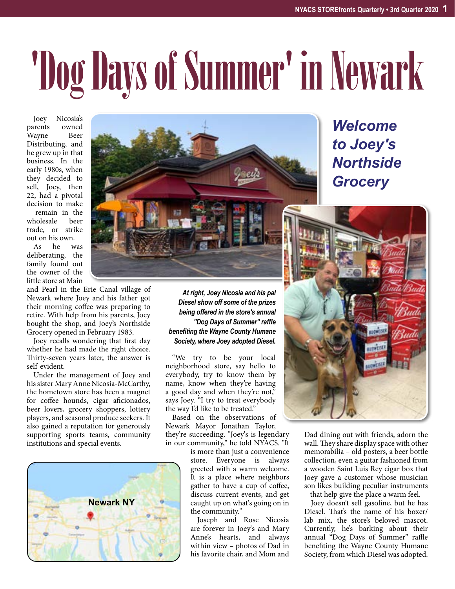## 'Dog Days of Summer' in Newark

Joey Nicosia's parents Wayne Beer Distributing, and he grew up in that business. In the early 1980s, when they decided to sell, Joey, then 22, had a pivotal decision to make – remain in the wholesale trade, or strike

out on his own.<br>As he was As he deliberating, the family found out the owner of the little store at Main

and Pearl in the Erie Canal village of Newark where Joey and his father got their morning coffee was preparing to retire. With help from his parents, Joey bought the shop, and Joey's Northside Grocery opened in February 1983.

Joey recalls wondering that first day whether he had made the right choice. Thirty-seven years later, the answer is self-evident.

Under the management of Joey and his sister Mary Anne Nicosia-McCarthy, the hometown store has been a magnet for coffee hounds, cigar aficionados, beer lovers, grocery shoppers, lottery players, and seasonal produce seekers. It also gained a reputation for generously supporting sports teams, community institutions and special events.





*Welcome to Joey's Northside Grocery*

*At right, Joey Nicosia and his pal Diesel show off some of the prizes being offered in the store's annual "Dog Days of Summer" raffle benefiting the Wayne County Humane Society, where Joey adopted Diesel.*

"We try to be your local neighborhood store, say hello to everybody, try to know them by name, know when they're having a good day and when they're not," says Joey. "I try to treat everybody the way I'd like to be treated."

Based on the observations of Newark Mayor Jonathan Taylor, they're succeeding. "Joey's is legendary in our community," he told NYACS. "It

> is more than just a convenience store. Everyone is always greeted with a warm welcome. It is a place where neighbors gather to have a cup of coffee, discuss current events, and get caught up on what's going on in the community."

> Joseph and Rose Nicosia are forever in Joey's and Mary Anne's hearts, and always within view – photos of Dad in his favorite chair, and Mom and



Dad dining out with friends, adorn the wall. They share display space with other memorabilia – old posters, a beer bottle collection, even a guitar fashioned from a wooden Saint Luis Rey cigar box that Joey gave a customer whose musician son likes building peculiar instruments – that help give the place a warm feel.

Joey doesn't sell gasoline, but he has Diesel. That's the name of his boxer/ lab mix, the store's beloved mascot. Currently, he's barking about their annual "Dog Days of Summer" raffle benefiting the Wayne County Humane Society, from which Diesel was adopted.